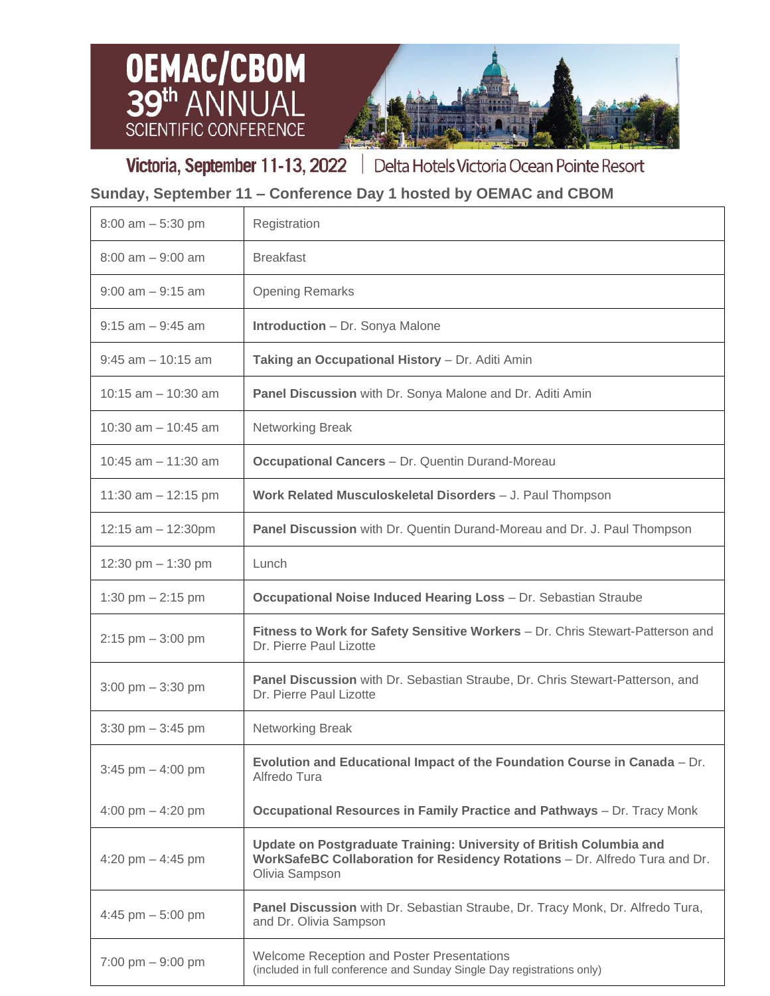



Victoria, September 11-13, 2022 | Delta Hotels Victoria Ocean Pointe Resort

## **Sunday, September 11 – Conference Day 1 hosted by OEMAC and CBOM**

| $8:00$ am $-5:30$ pm                | Registration                                                                                                                                                         |
|-------------------------------------|----------------------------------------------------------------------------------------------------------------------------------------------------------------------|
| $8:00$ am $-9:00$ am                | <b>Breakfast</b>                                                                                                                                                     |
| $9:00$ am $-9:15$ am                | <b>Opening Remarks</b>                                                                                                                                               |
| $9:15$ am $-9:45$ am                | <b>Introduction</b> – Dr. Sonya Malone                                                                                                                               |
| $9:45$ am $-10:15$ am               | Taking an Occupational History - Dr. Aditi Amin                                                                                                                      |
| $10:15$ am $-10:30$ am              | Panel Discussion with Dr. Sonya Malone and Dr. Aditi Amin                                                                                                            |
| 10:30 am $-$ 10:45 am               | Networking Break                                                                                                                                                     |
| 10:45 $am - 11:30 am$               | <b>Occupational Cancers - Dr. Quentin Durand-Moreau</b>                                                                                                              |
| 11:30 am $-$ 12:15 pm               | Work Related Musculoskeletal Disorders - J. Paul Thompson                                                                                                            |
| 12:15 $am - 12:30pm$                | Panel Discussion with Dr. Quentin Durand-Moreau and Dr. J. Paul Thompson                                                                                             |
| 12:30 pm $-$ 1:30 pm                | Lunch                                                                                                                                                                |
| 1:30 pm $- 2:15$ pm                 | Occupational Noise Induced Hearing Loss - Dr. Sebastian Straube                                                                                                      |
| $2:15$ pm $-3:00$ pm                | Fitness to Work for Safety Sensitive Workers - Dr. Chris Stewart-Patterson and<br>Dr. Pierre Paul Lizotte                                                            |
| $3:00 \text{ pm} - 3:30 \text{ pm}$ | Panel Discussion with Dr. Sebastian Straube, Dr. Chris Stewart-Patterson, and<br>Dr. Pierre Paul Lizotte                                                             |
| $3:30$ pm $-3:45$ pm                | Networking Break                                                                                                                                                     |
| 3:45 pm $-$ 4:00 pm                 | Evolution and Educational Impact of the Foundation Course in Canada - Dr.<br>Alfredo Tura                                                                            |
| 4:00 pm $-$ 4:20 pm                 | Occupational Resources in Family Practice and Pathways - Dr. Tracy Monk                                                                                              |
| 4:20 pm $-$ 4:45 pm                 | Update on Postgraduate Training: University of British Columbia and<br>WorkSafeBC Collaboration for Residency Rotations - Dr. Alfredo Tura and Dr.<br>Olivia Sampson |
| 4:45 pm $-$ 5:00 pm                 | Panel Discussion with Dr. Sebastian Straube, Dr. Tracy Monk, Dr. Alfredo Tura,<br>and Dr. Olivia Sampson                                                             |
| $7:00 \text{ pm} - 9:00 \text{ pm}$ | Welcome Reception and Poster Presentations<br>(included in full conference and Sunday Single Day registrations only)                                                 |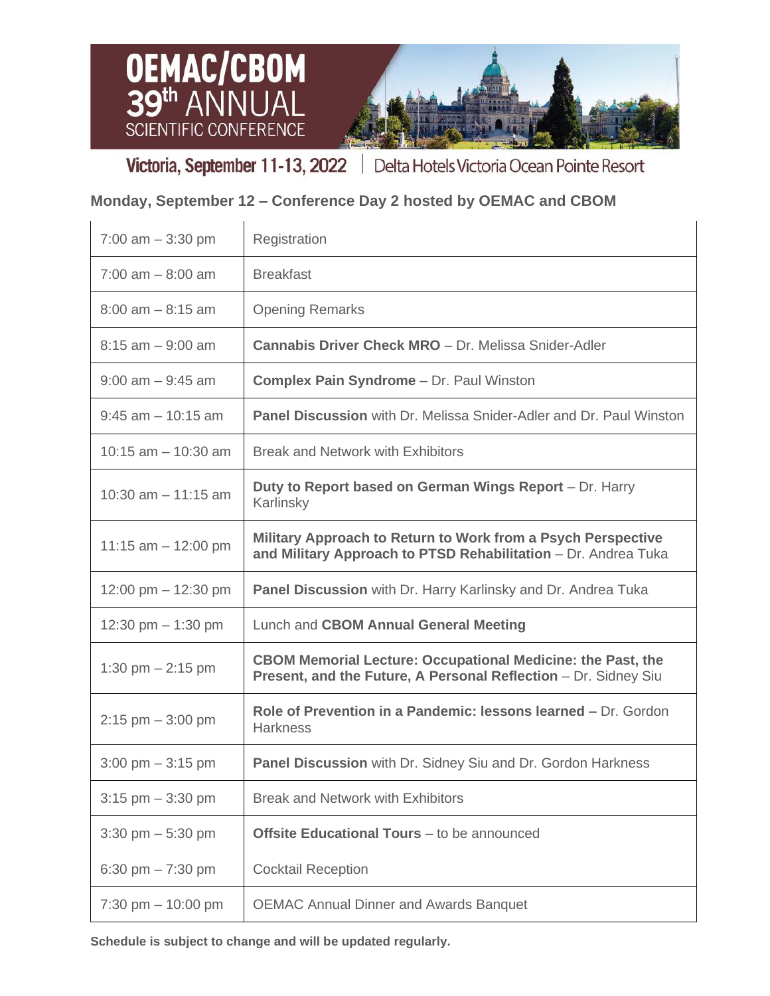



Victoria, September 11-13, 2022 | Delta Hotels Victoria Ocean Pointe Resort

 $\overline{\mathbf{1}}$ 

## **Monday, September 12 – Conference Day 2 hosted by OEMAC and CBOM**

| 7:00 am $-$ 3:30 pm                 | Registration                                                                                                                          |
|-------------------------------------|---------------------------------------------------------------------------------------------------------------------------------------|
| $7:00$ am $-8:00$ am                | <b>Breakfast</b>                                                                                                                      |
| $8:00$ am $-8:15$ am                | <b>Opening Remarks</b>                                                                                                                |
| $8:15$ am $-9:00$ am                | <b>Cannabis Driver Check MRO</b> - Dr. Melissa Snider-Adler                                                                           |
| $9:00$ am $-9:45$ am                | <b>Complex Pain Syndrome - Dr. Paul Winston</b>                                                                                       |
| $9:45$ am $-10:15$ am               | <b>Panel Discussion</b> with Dr. Melissa Snider-Adler and Dr. Paul Winston                                                            |
| 10:15 am $-$ 10:30 am               | <b>Break and Network with Exhibitors</b>                                                                                              |
| 10:30 am $-$ 11:15 am               | Duty to Report based on German Wings Report - Dr. Harry<br>Karlinsky                                                                  |
| 11:15 am $-$ 12:00 pm               | Military Approach to Return to Work from a Psych Perspective<br>and Military Approach to PTSD Rehabilitation - Dr. Andrea Tuka        |
| 12:00 pm $-$ 12:30 pm               | <b>Panel Discussion</b> with Dr. Harry Karlinsky and Dr. Andrea Tuka                                                                  |
| 12:30 pm $-$ 1:30 pm                | Lunch and CBOM Annual General Meeting                                                                                                 |
| 1:30 pm $- 2:15$ pm                 | <b>CBOM Memorial Lecture: Occupational Medicine: the Past, the</b><br>Present, and the Future, A Personal Reflection - Dr. Sidney Siu |
| $2:15$ pm $-3:00$ pm                | Role of Prevention in a Pandemic: lessons learned – Dr. Gordon<br><b>Harkness</b>                                                     |
| $3:00 \text{ pm} - 3:15 \text{ pm}$ | <b>Panel Discussion</b> with Dr. Sidney Siu and Dr. Gordon Harkness                                                                   |
| $3:15$ pm $-3:30$ pm                | <b>Break and Network with Exhibitors</b>                                                                                              |
| $3:30$ pm $-5:30$ pm                | <b>Offsite Educational Tours</b> – to be announced                                                                                    |
| 6:30 pm $- 7:30$ pm                 | <b>Cocktail Reception</b>                                                                                                             |
| 7:30 pm $-$ 10:00 pm                | <b>OEMAC Annual Dinner and Awards Banquet</b>                                                                                         |

**Schedule is subject to change and will be updated regularly.**